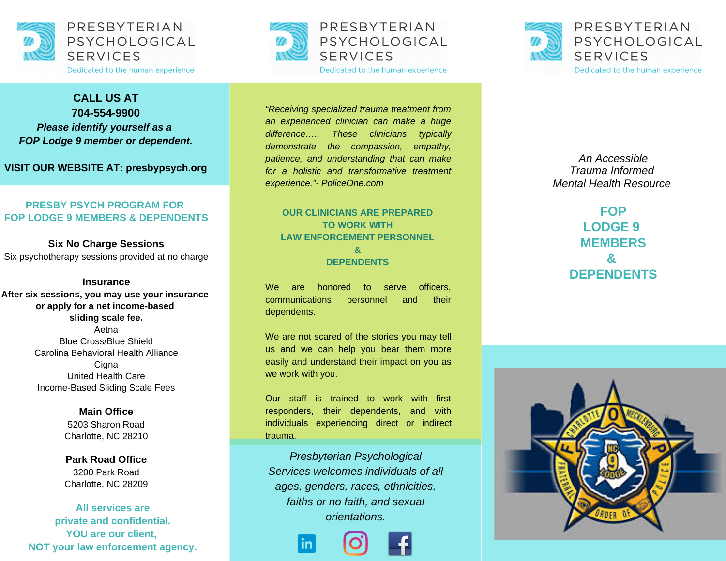



**FOP Lodge 9 member or dependent.** 

VISIT OUR WEBSITE AT: presbypsych.org

### **PRESBY PSYCH PROGRAM FOR FOP LODGE 9 MEMBERS & DEPENDENTS**

**Six No Charge Sessions** Six psychotherapy sessions provided at no charge

#### **lnsurance**

After six sessions, you may use your insurance or apply for a net income-based sliding scale fee. Aetna Blue Cross/Blue Shield Carolina Behavioral Health Alliance Cigna United Health Care Income-Based Sliding Scale Fees

> **Main Office** 5203 Sharon Road Charlotte, NC 28210

**Park Road Office** 3200 Park Road Charlotte, NC 28209

**All services are** private and confidential. YOU are our client, NOT your law enforcement agency.



Dedicated to the human experience

"Receiving specialized trauma treatment from an experienced clinician can make a huge difference..... These clinicians typically demonstrate the compassion, empathy, patience, and understanding that can make for a holistic and transformative treatment *experience."*- PoliceOne.com

### **OUR CLINICIANS ARE PREPARED TO WORK WITH** LAW ENFORCEMENT PERSONNEL **& DEPENDENTS**

W e a r e honored t o serve officers, communications personnel a n d their dependents.

We are not scared of the stories you may tell us and we can help you bear them more easily and understand their impact on you as we work with you.

Our staff is trained to work with first responders, their dependents, and with individuals experiencing direct or indirect trauma.

*Presbyterian Psychological Services welcomes individuals of all ages, genders, races, ethnicities, faiths or no faith, and sexual orientations.*





*A n A c c e s s ib l e Trauma Informed Mental Health Resource* 

> FOP **LODGE 9 MEMBERS & DEPENDENTS**